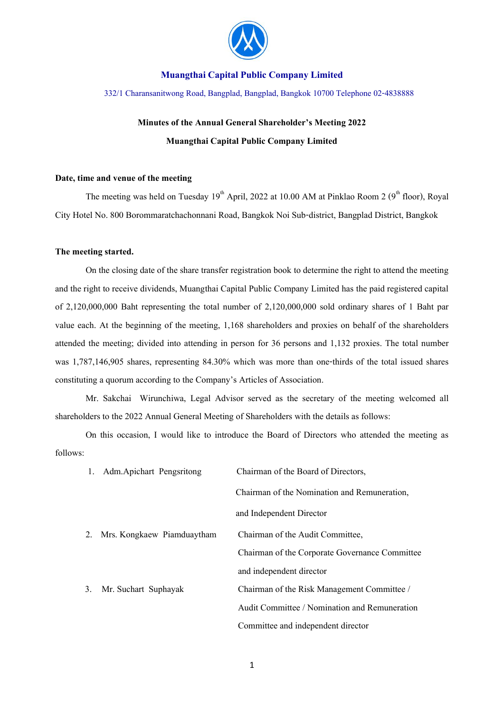

332/1 Charansanitwong Road, Bangplad, Bangplad, Bangkok 10700 Telephone 02-4838888

# **Minutes of the Annual General Shareholder's Meeting 2022 Muangthai Capital Public Company Limited**

#### **Date, time and venue of the meeting**

The meeting was held on Tuesday  $19<sup>th</sup>$  April, 2022 at 10.00 AM at Pinklao Room 2 ( $9<sup>th</sup>$  floor), Royal City Hotel No. 800 Borommaratchachonnani Road, Bangkok Noi Sub-district, Bangplad District, Bangkok

#### **The meeting started.**

On the closing date of the share transfer registration book to determine the right to attend the meeting and the right to receive dividends, Muangthai Capital Public Company Limited has the paid registered capital of 2,120,000,000 Baht representing the total number of 2,120,000,000 sold ordinary shares of 1 Baht par value each. At the beginning of the meeting, 1,168 shareholders and proxies on behalf of the shareholders attended the meeting; divided into attending in person for 36 persons and 1,132 proxies. The total number was 1,787,146,905 shares, representing 84.30% which was more than one-thirds of the total issued shares constituting a quorum according to the Company's Articles of Association.

Mr. Sakchai Wirunchiwa, Legal Advisor served as the secretary of the meeting welcomed all shareholders to the 2022 Annual General Meeting of Shareholders with the details as follows:

On this occasion, I would like to introduce the Board of Directors who attended the meeting as follows:

| 1. | Adm.Apichart Pengsritong   | Chairman of the Board of Directors,            |  |
|----|----------------------------|------------------------------------------------|--|
|    |                            | Chairman of the Nomination and Remuneration,   |  |
|    |                            | and Independent Director                       |  |
| 2. | Mrs. Kongkaew Piamduaytham | Chairman of the Audit Committee,               |  |
|    |                            | Chairman of the Corporate Governance Committee |  |
|    |                            | and independent director                       |  |
| 3. | Mr. Suchart Suphayak       | Chairman of the Risk Management Committee /    |  |
|    |                            | Audit Committee / Nomination and Remuneration  |  |
|    |                            | Committee and independent director             |  |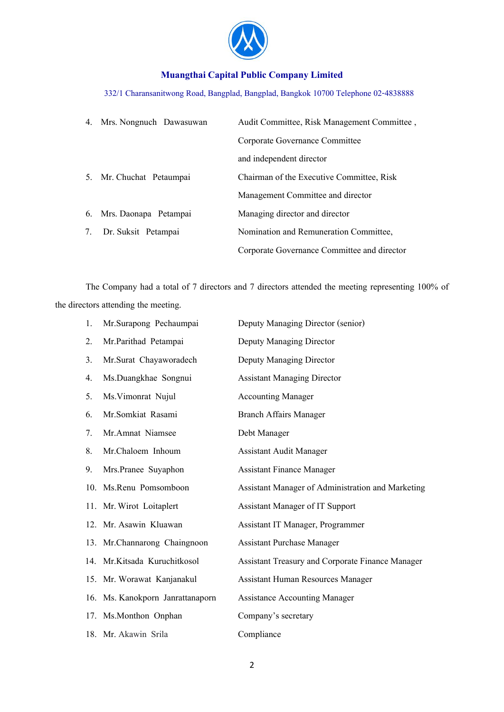

# 332/1 Charansanitwong Road, Bangplad, Bangplad, Bangkok 10700 Telephone 02-4838888

|    | 4. Mrs. Nongnuch Dawasuwan | Audit Committee, Risk Management Committee, |  |
|----|----------------------------|---------------------------------------------|--|
|    |                            | Corporate Governance Committee              |  |
|    |                            | and independent director                    |  |
|    | 5. Mr. Chuchat Petaumpai   | Chairman of the Executive Committee, Risk   |  |
|    |                            | Management Committee and director           |  |
|    | 6. Mrs. Daonapa Petampai   | Managing director and director              |  |
| 7. | Dr. Suksit Petampai        | Nomination and Remuneration Committee,      |  |
|    |                            | Corporate Governance Committee and director |  |

The Company had a total of 7 directors and 7 directors attended the meeting representing 100% of the directors attending the meeting.

| 1. | Mr.Surapong Pechaumpai           | Deputy Managing Director (senior)                       |
|----|----------------------------------|---------------------------------------------------------|
| 2. | Mr.Parithad Petampai             | Deputy Managing Director                                |
| 3. | Mr.Surat Chayaworadech           | Deputy Managing Director                                |
| 4. | Ms.Duangkhae Songnui             | <b>Assistant Managing Director</b>                      |
| 5. | Ms. Vimonrat Nujul               | <b>Accounting Manager</b>                               |
| 6. | Mr.Somkiat Rasami                | <b>Branch Affairs Manager</b>                           |
| 7. | Mr.Amnat Niamsee                 | Debt Manager                                            |
| 8. | Mr.Chaloem Inhoum                | <b>Assistant Audit Manager</b>                          |
| 9. | Mrs.Pranee Suyaphon              | <b>Assistant Finance Manager</b>                        |
|    | 10. Ms.Renu Pomsomboon           | Assistant Manager of Administration and Marketing       |
|    | 11. Mr. Wirot Loitaplert         | <b>Assistant Manager of IT Support</b>                  |
|    | 12. Mr. Asawin Kluawan           | Assistant IT Manager, Programmer                        |
|    | 13. Mr.Channarong Chaingnoon     | <b>Assistant Purchase Manager</b>                       |
|    | 14. Mr.Kitsada Kuruchitkosol     | <b>Assistant Treasury and Corporate Finance Manager</b> |
|    | 15. Mr. Worawat Kanjanakul       | <b>Assistant Human Resources Manager</b>                |
|    | 16. Ms. Kanokporn Janrattanaporn | <b>Assistance Accounting Manager</b>                    |
|    | 17. Ms.Monthon Onphan            | Company's secretary                                     |
|    | 18. Mr. Akawin Srila             | Compliance                                              |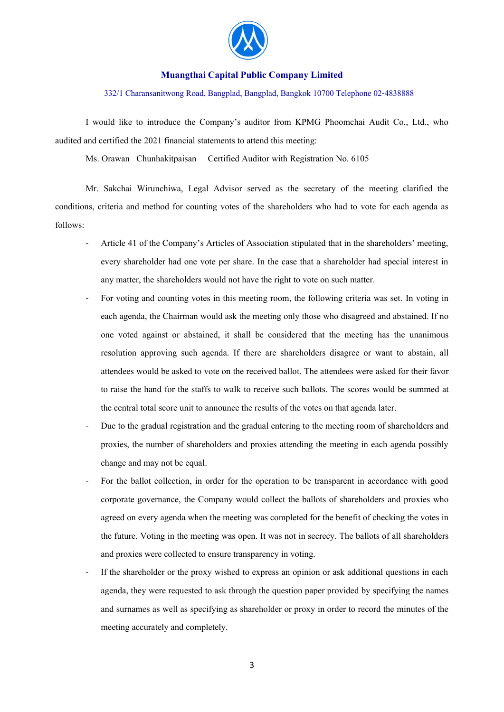

#### 332/1 Charansanitwong Road, Bangplad, Bangplad, Bangkok 10700 Telephone 02-4838888

I would like to introduce the Company's auditor from KPMG Phoomchai Audit Co., Ltd., who audited and certified the 2021 financial statements to attend this meeting:

Ms. Orawan Chunhakitpaisan Certified Auditor with Registration No. 6105

Mr. Sakchai Wirunchiwa, Legal Advisor served as the secretary of the meeting clarified the conditions, criteria and method for counting votes of the shareholders who had to vote for each agenda as follows:

- Article 41 of the Company's Articles of Association stipulated that in the shareholders' meeting, every shareholder had one vote per share. In the case that a shareholder had special interest in any matter, the shareholders would not have the right to vote on such matter.
- For voting and counting votes in this meeting room, the following criteria was set. In voting in each agenda, the Chairman would ask the meeting only those who disagreed and abstained. If no one voted against or abstained, it shall be considered that the meeting has the unanimous resolution approving such agenda. If there are shareholders disagree or want to abstain, all attendees would be asked to vote on the received ballot. The attendees were asked for their favor to raise the hand for the staffs to walk to receive such ballots. The scores would be summed at the central total score unit to announce the results of the votes on that agenda later.
- Due to the gradual registration and the gradual entering to the meeting room of shareholders and proxies, the number of shareholders and proxies attending the meeting in each agenda possibly change and may not be equal.
- For the ballot collection, in order for the operation to be transparent in accordance with good corporate governance, the Company would collect the ballots of shareholders and proxies who agreed on every agenda when the meeting was completed for the benefit of checking the votes in the future. Voting in the meeting was open. It was not in secrecy. The ballots of all shareholders and proxies were collected to ensure transparency in voting.
- If the shareholder or the proxy wished to express an opinion or ask additional questions in each agenda, they were requested to ask through the question paper provided by specifying the names and surnames as well as specifying as shareholder or proxy in order to record the minutes of the meeting accurately and completely.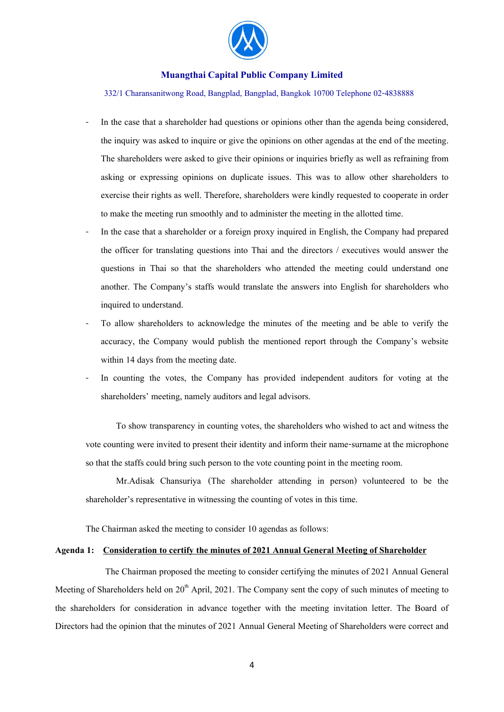

332/1 Charansanitwong Road, Bangplad, Bangplad, Bangkok 10700 Telephone 02-4838888

- In the case that a shareholder had questions or opinions other than the agenda being considered, the inquiry was asked to inquire or give the opinions on other agendas at the end of the meeting. The shareholders were asked to give their opinions or inquiries briefly as well as refraining from asking or expressing opinions on duplicate issues. This was to allow other shareholders to exercise their rights as well. Therefore, shareholders were kindly requested to cooperate in order to make the meeting run smoothly and to administer the meeting in the allotted time.
- In the case that a shareholder or a foreign proxy inquired in English, the Company had prepared the officer for translating questions into Thai and the directors / executives would answer the questions in Thai so that the shareholders who attended the meeting could understand one another. The Company's staffs would translate the answers into English for shareholders who inquired to understand.
- To allow shareholders to acknowledge the minutes of the meeting and be able to verify the accuracy, the Company would publish the mentioned report through the Company's website within 14 days from the meeting date.
- In counting the votes, the Company has provided independent auditors for voting at the shareholders' meeting, namely auditors and legal advisors.

To show transparency in counting votes, the shareholders who wished to act and witness the vote counting were invited to present their identity and inform their name-surname at the microphone so that the staffs could bring such person to the vote counting point in the meeting room.

Mr.Adisak Chansuriya (The shareholder attending in person) volunteered to be the shareholder's representative in witnessing the counting of votes in this time.

The Chairman asked the meeting to consider 10 agendas as follows:

#### **Agenda 1: Consideration to certify the minutes of 2021 Annual General Meeting of Shareholder**

The Chairman proposed the meeting to consider certifying the minutes of 2021 Annual General Meeting of Shareholders held on  $20<sup>th</sup>$  April, 2021. The Company sent the copy of such minutes of meeting to the shareholders for consideration in advance together with the meeting invitation letter. The Board of Directors had the opinion that the minutes of 2021 Annual General Meeting of Shareholders were correct and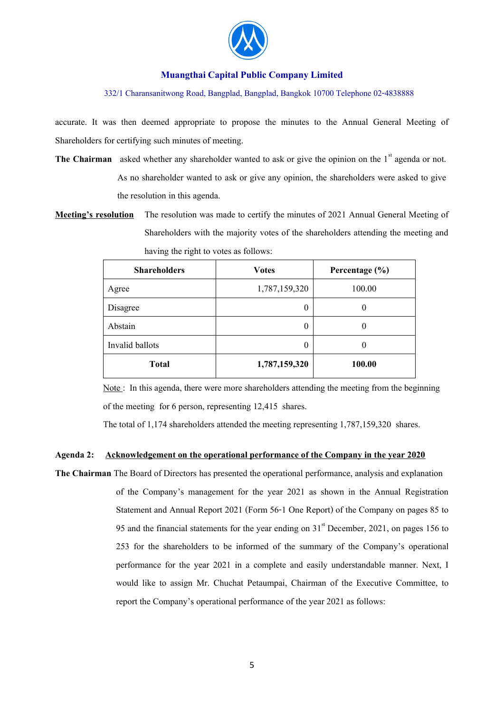

332/1 Charansanitwong Road, Bangplad, Bangplad, Bangkok 10700 Telephone 02-4838888

accurate. It was then deemed appropriate to propose the minutes to the Annual General Meeting of Shareholders for certifying such minutes of meeting.

- **The Chairman** asked whether any shareholder wanted to ask or give the opinion on the 1<sup>st</sup> agenda or not. As no shareholder wanted to ask or give any opinion, the shareholders were asked to give the resolution in this agenda.
- **Meeting's resolution** The resolution was made to certify the minutes of 2021 Annual General Meeting of Shareholders with the majority votes of the shareholders attending the meeting and having the right to votes as follows:

| <b>Shareholders</b> | <b>Votes</b>  | Percentage $(\% )$ |
|---------------------|---------------|--------------------|
| Agree               | 1,787,159,320 | 100.00             |
| Disagree            | 0             | $\theta$           |
| Abstain             | 0             | 0                  |
| Invalid ballots     | 0             | $\theta$           |
| <b>Total</b>        | 1,787,159,320 | 100.00             |

Note : In this agenda, there were more shareholders attending the meeting from the beginning of the meeting for 6 person, representing 12,415 shares.

The total of 1,174 shareholders attended the meeting representing 1,787,159,320 shares.

### **Agenda 2: Acknowledgement on the operational performance of the Company in the year 2020**

**The Chairman** The Board of Directors has presented the operational performance, analysis and explanation of the Company's management for the year 2021 as shown in the Annual Registration Statement and Annual Report 2021 (Form 56-1 One Report) of the Company on pages 85 to 95 and the financial statements for the year ending on  $31<sup>st</sup>$  December, 2021, on pages 156 to 253 for the shareholders to be informed of the summary of the Company's operational performance for the year 2021 in a complete and easily understandable manner. Next, I would like to assign Mr. Chuchat Petaumpai, Chairman of the Executive Committee, to report the Company's operational performance of the year 2021 as follows: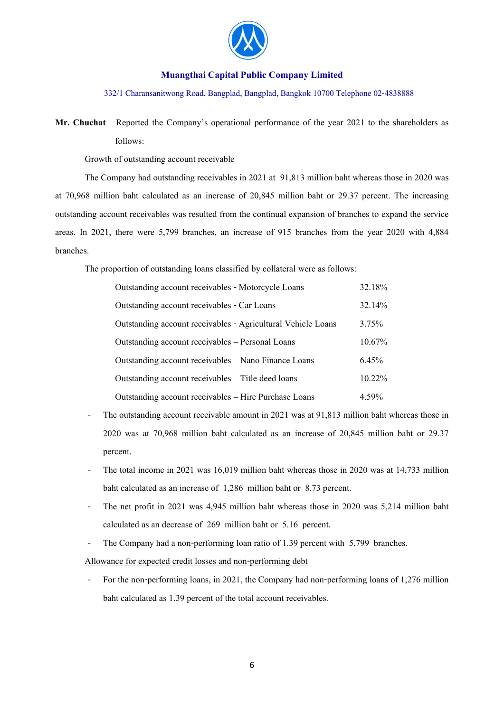

#### 332/1 Charansanitwong Road, Bangplad, Bangplad, Bangkok 10700 Telephone 02-4838888

**Mr. Chuchat** Reported the Company's operational performance of the year 2021 to the shareholders as follows:

### Growth of outstanding account receivable

The Company had outstanding receivables in 2021 at 91,813 million baht whereas those in 2020 was at 70,968 million baht calculated as an increase of 20,845 million baht or 29.37 percent. The increasing outstanding account receivables was resulted from the continual expansion of branches to expand the service areas. In 2021, there were 5,799 branches, an increase of 915 branches from the year 2020 with 4,884 branches.

The proportion of outstanding loans classified by collateral were as follows:

| Outstanding account receivables - Motorcycle Loans           | 32.18%    |
|--------------------------------------------------------------|-----------|
| Outstanding account receivables - Car Loans                  | 32.14%    |
| Outstanding account receivables - Agricultural Vehicle Loans | $3.75\%$  |
| Outstanding account receivables – Personal Loans             | $10.67\%$ |
| Outstanding account receivables – Nano Finance Loans         | $6.45\%$  |
| Outstanding account receivables – Title deed loans           | 10.22%    |
| Outstanding account receivables - Hire Purchase Loans        | 4.59%     |

- The outstanding account receivable amount in 2021 was at 91,813 million baht whereas those in 2020 was at 70,968 million baht calculated as an increase of 20,845 million baht or 29.37 percent.
- The total income in 2021 was 16,019 million baht whereas those in 2020 was at 14,733 million baht calculated as an increase of 1,286 million baht or 8.73 percent.
- The net profit in 2021 was 4,945 million baht whereas those in 2020 was 5,214 million baht calculated as an decrease of 269 million baht or 5.16 percent.
- The Company had a non-performing loan ratio of 1.39 percent with 5,799 branches.

Allowance for expected credit losses and non-performing debt

- For the non-performing loans, in 2021, the Company had non-performing loans of 1,276 million baht calculated as 1.39 percent of the total account receivables.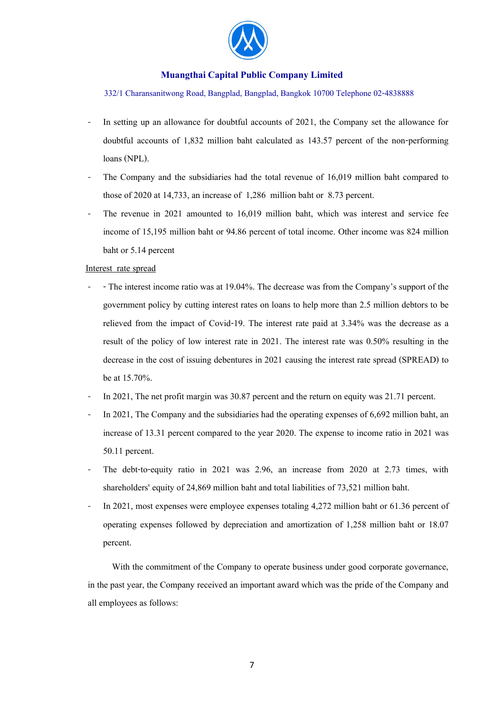

332/1 Charansanitwong Road, Bangplad, Bangplad, Bangkok 10700 Telephone 02-4838888

- In setting up an allowance for doubtful accounts of 2021, the Company set the allowance for doubtful accounts of 1,832 million baht calculated as 143.57 percent of the non-performing loans (NPL).
- The Company and the subsidiaries had the total revenue of 16,019 million baht compared to those of 2020 at 14,733, an increase of 1,286 million baht or 8.73 percent.
- The revenue in 2021 amounted to 16,019 million baht, which was interest and service fee income of 15,195 million baht or 94.86 percent of total income. Other income was 824 million baht or 5.14 percent

#### Interest rate spread

- - The interest income ratio was at 19.04%. The decrease was from the Company's support of the government policy by cutting interest rates on loans to help more than 2.5 million debtors to be relieved from the impact of Covid-19. The interest rate paid at 3.34% was the decrease as a result of the policy of low interest rate in 2021. The interest rate was 0.50% resulting in the decrease in the cost of issuing debentures in 2021 causing the interest rate spread (SPREAD) to be at 15.70%.
- In 2021, The net profit margin was 30.87 percent and the return on equity was 21.71 percent.
- In 2021, The Company and the subsidiaries had the operating expenses of 6,692 million baht, an increase of 13.31 percent compared to the year 2020. The expense to income ratio in 2021 was 50.11 percent.
- The debt-to-equity ratio in 2021 was 2.96, an increase from 2020 at 2.73 times, with shareholders' equity of 24,869 million baht and total liabilities of 73,521 million baht.
- In 2021, most expenses were employee expenses totaling 4,272 million baht or 61.36 percent of operating expenses followed by depreciation and amortization of 1,258 million baht or 18.07 percent.

With the commitment of the Company to operate business under good corporate governance, in the past year, the Company received an important award which was the pride of the Company and all employees as follows: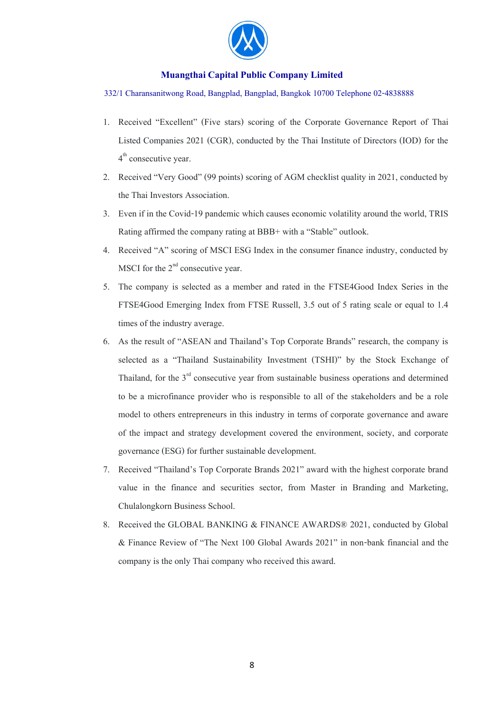

#### 332/1 Charansanitwong Road, Bangplad, Bangplad, Bangkok 10700 Telephone 02-4838888

- 1. Received "Excellent" (Five stars) scoring of the Corporate Governance Report of Thai Listed Companies 2021 (CGR), conducted by the Thai Institute of Directors (IOD) for the 4<sup>th</sup> consecutive year.
- 2. Received "Very Good" (99 points) scoring of AGM checklist quality in 2021, conducted by the Thai Investors Association.
- 3. Even if in the Covid-19 pandemic which causes economic volatility around the world, TRIS Rating affirmed the company rating at BBB+ with a "Stable" outlook.
- 4. Received "A" scoring of MSCI ESG Index in the consumer finance industry, conducted by MSCI for the  $2<sup>nd</sup>$  consecutive year.
- 5. The company is selected as a member and rated in the FTSE4Good Index Series in the FTSE4Good Emerging Index from FTSE Russell, 3.5 out of 5 rating scale or equal to 1.4 times of the industry average.
- 6. As the result of "ASEAN and Thailand's Top Corporate Brands" research, the company is selected as a "Thailand Sustainability Investment (TSHI)" by the Stock Exchange of Thailand, for the  $3<sup>rd</sup>$  consecutive year from sustainable business operations and determined to be a microfinance provider who is responsible to all of the stakeholders and be a role model to others entrepreneurs in this industry in terms of corporate governance and aware of the impact and strategy development covered the environment, society, and corporate governance (ESG) for further sustainable development.
- 7. Received "Thailand's Top Corporate Brands 2021" award with the highest corporate brand value in the finance and securities sector, from Master in Branding and Marketing, Chulalongkorn Business School.
- 8. Received the GLOBAL BANKING & FINANCE AWARDS® 2021, conducted by Global & Finance Review of "The Next 100 Global Awards 2021" in non-bank financial and the company is the only Thai company who received this award.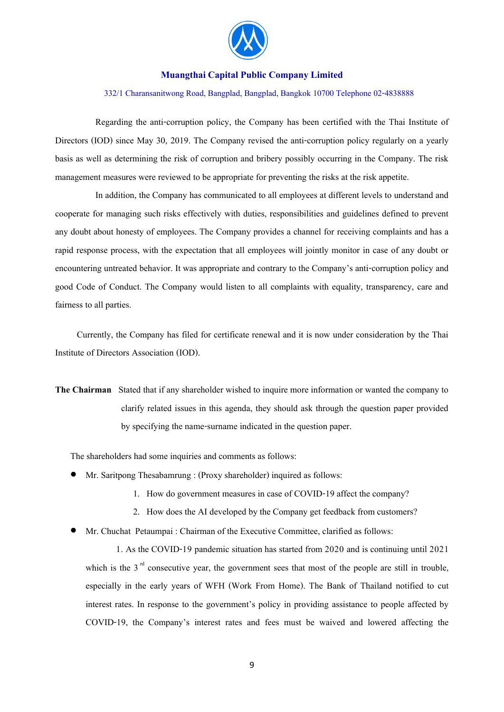

#### 332/1 Charansanitwong Road, Bangplad, Bangplad, Bangkok 10700 Telephone 02-4838888

 Regarding the anti-corruption policy, the Company has been certified with the Thai Institute of Directors (IOD) since May 30, 2019. The Company revised the anti-corruption policy regularly on a yearly basis as well as determining the risk of corruption and bribery possibly occurring in the Company. The risk management measures were reviewed to be appropriate for preventing the risks at the risk appetite.

 In addition, the Company has communicated to all employees at different levels to understand and cooperate for managing such risks effectively with duties, responsibilities and guidelines defined to prevent any doubt about honesty of employees. The Company provides a channel for receiving complaints and has a rapid response process, with the expectation that all employees will jointly monitor in case of any doubt or encountering untreated behavior. It was appropriate and contrary to the Company's anti-corruption policy and good Code of Conduct. The Company would listen to all complaints with equality, transparency, care and fairness to all parties.

Currently, the Company has filed for certificate renewal and it is now under consideration by the Thai Institute of Directors Association (IOD).

**The Chairman** Stated that if any shareholder wished to inquire more information or wanted the company to clarify related issues in this agenda, they should ask through the question paper provided by specifying the name-surname indicated in the question paper.

The shareholders had some inquiries and comments as follows:

- Mr. Saritpong Thesabamrung : (Proxy shareholder) inquired as follows:
	- 1. How do government measures in case of COVID-19 affect the company?
	- 2. How does the AI developed by the Company get feedback from customers?
- Mr. Chuchat Petaumpai : Chairman of the Executive Committee, clarified as follows:

1. As the COVID-19 pandemic situation has started from 2020 and is continuing until 2021 which is the  $3<sup>rd</sup>$  consecutive year, the government sees that most of the people are still in trouble, especially in the early years of WFH (Work From Home). The Bank of Thailand notified to cut interest rates. In response to the government's policy in providing assistance to people affected by COVID-19, the Company's interest rates and fees must be waived and lowered affecting the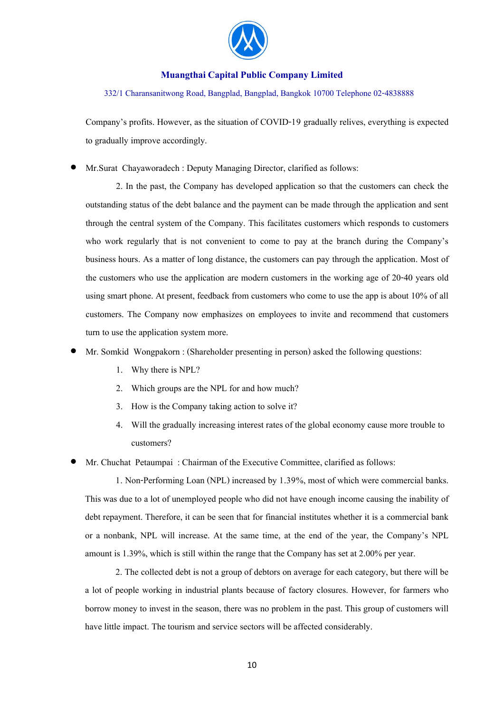

332/1 Charansanitwong Road, Bangplad, Bangplad, Bangkok 10700 Telephone 02-4838888

Company's profits. However, as the situation of COVID-19 gradually relives, everything is expected to gradually improve accordingly.

• Mr.Surat Chayaworadech : Deputy Managing Director, clarified as follows:

2. In the past, the Company has developed application so that the customers can check the outstanding status of the debt balance and the payment can be made through the application and sent through the central system of the Company. This facilitates customers which responds to customers who work regularly that is not convenient to come to pay at the branch during the Company's business hours. As a matter of long distance, the customers can pay through the application. Most of the customers who use the application are modern customers in the working age of 20-40 years old using smart phone. At present, feedback from customers who come to use the app is about 10% of all customers. The Company now emphasizes on employees to invite and recommend that customers turn to use the application system more.

- Mr. Somkid Wongpakorn : (Shareholder presenting in person) asked the following questions:
	- 1. Why there is NPL?
	- 2. Which groups are the NPL for and how much?
	- 3. How is the Company taking action to solve it?
	- 4. Will the gradually increasing interest rates of the global economy cause more trouble to customers?
- Mr. Chuchat Petaumpai : Chairman of the Executive Committee, clarified as follows:

1. Non-Performing Loan (NPL) increased by 1.39%, most of which were commercial banks. This was due to a lot of unemployed people who did not have enough income causing the inability of debt repayment. Therefore, it can be seen that for financial institutes whether it is a commercial bank or a nonbank, NPL will increase. At the same time, at the end of the year, the Company's NPL amount is 1.39%, which is still within the range that the Company has set at 2.00% per year.

2. The collected debt is not a group of debtors on average for each category, but there will be a lot of people working in industrial plants because of factory closures. However, for farmers who borrow money to invest in the season, there was no problem in the past. This group of customers will have little impact. The tourism and service sectors will be affected considerably.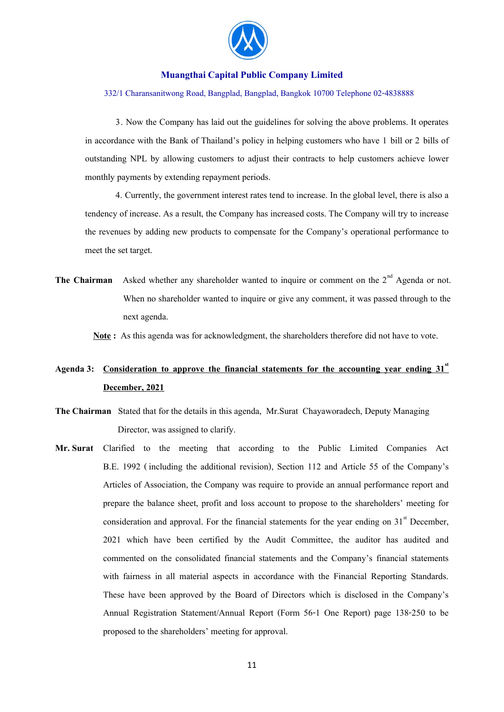

#### 332/1 Charansanitwong Road, Bangplad, Bangplad, Bangkok 10700 Telephone 02-4838888

3. Now the Company has laid out the guidelines for solving the above problems. It operates in accordance with the Bank of Thailand's policy in helping customers who have 1 bill or 2 bills of outstanding NPL by allowing customers to adjust their contracts to help customers achieve lower monthly payments by extending repayment periods.

4. Currently, the government interest rates tend to increase. In the global level, there is also a tendency of increase. As a result, the Company has increased costs. The Company will try to increase the revenues by adding new products to compensate for the Company's operational performance to meet the set target.

**The Chairman** Asked whether any shareholder wanted to inquire or comment on the  $2<sup>nd</sup>$  Agenda or not. When no shareholder wanted to inquire or give any comment, it was passed through to the next agenda.

 **Note :** As this agenda was for acknowledgment, the shareholders therefore did not have to vote.

# **Agenda 3: Consideration to approve the financial statements for the accounting year ending 31st December, 2021**

- **The Chairman** Stated that for the details in this agenda, Mr.Surat Chayaworadech, Deputy Managing Director, was assigned to clarify.
- **Mr.Surat** Clarified to the meeting that according to the Public Limited Companies Act B.E. 1992 ( including the additional revision), Section 112 and Article 55 of the Company's Articles of Association, the Company was require to provide an annual performance report and prepare the balance sheet, profit and loss account to propose to the shareholders' meeting for consideration and approval. For the financial statements for the year ending on  $31<sup>st</sup>$  December, 2021 which have been certified by the Audit Committee, the auditor has audited and commented on the consolidated financial statements and the Company's financial statements with fairness in all material aspects in accordance with the Financial Reporting Standards. These have been approved by the Board of Directors which is disclosed in the Company's Annual Registration Statement/Annual Report (Form 56-1 One Report) page 138-250 to be proposed to the shareholders' meeting for approval.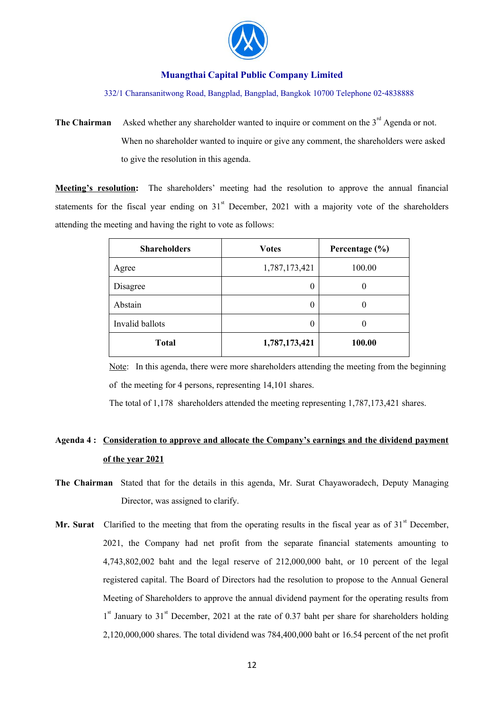

332/1 Charansanitwong Road, Bangplad, Bangplad, Bangkok 10700 Telephone 02-4838888

**The Chairman** Asked whether any shareholder wanted to inquire or comment on the 3<sup>rd</sup> Agenda or not. When no shareholder wanted to inquire or give any comment, the shareholders were asked to give the resolution in this agenda.

**Meeting's resolution:** The shareholders' meeting had the resolution to approve the annual financial statements for the fiscal year ending on  $31<sup>st</sup>$  December, 2021 with a majority vote of the shareholders attending the meeting and having the right to vote as follows:

| <b>Shareholders</b> | <b>Votes</b>  | Percentage $(\% )$ |
|---------------------|---------------|--------------------|
| Agree               | 1,787,173,421 | 100.00             |
| Disagree            | $\theta$      | $\theta$           |
| Abstain             | $\theta$      | 0                  |
| Invalid ballots     | $\theta$      | $\theta$           |
| <b>Total</b>        | 1,787,173,421 | 100.00             |

 Note: In this agenda, there were more shareholders attending the meeting from the beginning of the meeting for 4 persons, representing 14,101 shares.

The total of 1,178 shareholders attended the meeting representing 1,787,173,421 shares.

# **Agenda 4 : Consideration to approve and allocate the Company's earnings and the dividend payment of the year 2021**

- **The Chairman** Stated that for the details in this agenda, Mr. Surat Chayaworadech, Deputy Managing Director, was assigned to clarify.
- **Mr. Surat** Clarified to the meeting that from the operating results in the fiscal year as of  $31<sup>st</sup>$  December, 2021, the Company had net profit from the separate financial statements amounting to 4,743,802,002 baht and the legal reserve of 212,000,000 baht, or 10 percent of the legal registered capital. The Board of Directors had the resolution to propose to the Annual General Meeting of Shareholders to approve the annual dividend payment for the operating results from 1<sup>st</sup> January to 31<sup>st</sup> December, 2021 at the rate of 0.37 baht per share for shareholders holding 2,120,000,000 shares. The total dividend was 784,400,000 baht or 16.54 percent of the net profit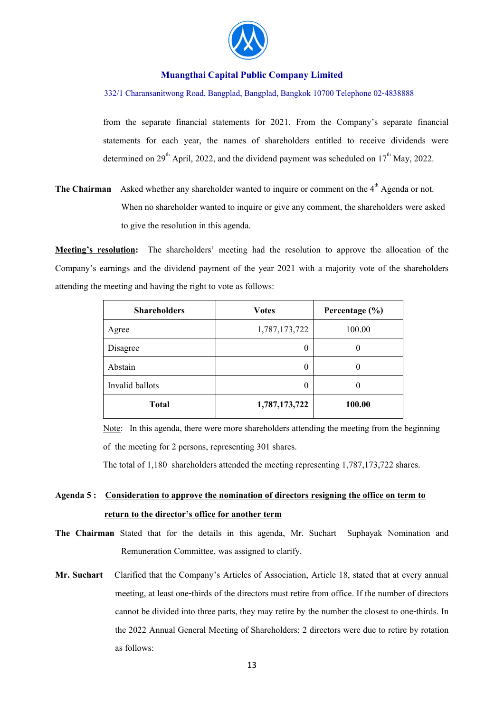

#### 332/1 Charansanitwong Road, Bangplad, Bangplad, Bangkok 10700 Telephone 02-4838888

from the separate financial statements for 2021. From the Company's separate financial statements for each year, the names of shareholders entitled to receive dividends were determined on  $29<sup>th</sup>$  April, 2022, and the dividend payment was scheduled on  $17<sup>th</sup>$  May, 2022.

**The Chairman** Asked whether any shareholder wanted to inquire or comment on the 4<sup>th</sup> Agenda or not. When no shareholder wanted to inquire or give any comment, the shareholders were asked to give the resolution in this agenda.

**Meeting's resolution:** The shareholders' meeting had the resolution to approve the allocation of the Company's earnings and the dividend payment of the year 2021 with a majority vote of the shareholders attending the meeting and having the right to vote as follows:

| <b>Shareholders</b> | <b>Votes</b>  | Percentage $(\% )$ |
|---------------------|---------------|--------------------|
| Agree               | 1,787,173,722 | 100.00             |
| Disagree            | 0             |                    |
| Abstain             | 0             |                    |
| Invalid ballots     | 0             |                    |
| <b>Total</b>        | 1,787,173,722 | 100.00             |

 Note: In this agenda, there were more shareholders attending the meeting from the beginning of the meeting for 2 persons, representing 301 shares.

The total of 1,180 shareholders attended the meeting representing 1,787,173,722 shares.

# **Agenda 5 : Consideration to approve the nomination of directors resigning the office on term to return to the director's office for another term**

- **The Chairman** Stated that for the details in this agenda, Mr. Suchart Suphayak Nomination and Remuneration Committee, was assigned to clarify.
- **Mr. Suchart** Clarified that the Company's Articles of Association, Article 18, stated that at every annual meeting, at least one-thirds of the directors must retire from office. If the number of directors cannot be divided into three parts, they may retire by the number the closest to one-thirds. In the 2022 Annual General Meeting of Shareholders; 2 directors were due to retire by rotation as follows: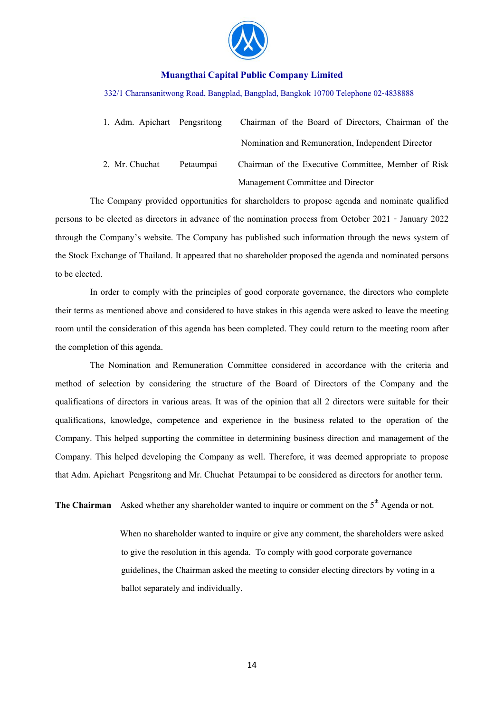

#### 332/1 Charansanitwong Road, Bangplad, Bangplad, Bangkok 10700 Telephone 02-4838888

| 1. Adm. Apichart Pengsritong |           | Chairman of the Board of Directors, Chairman of the |
|------------------------------|-----------|-----------------------------------------------------|
|                              |           | Nomination and Remuneration, Independent Director   |
| 2. Mr. Chuchat               | Petaumpai | Chairman of the Executive Committee, Member of Risk |
|                              |           | Management Committee and Director                   |

 The Company provided opportunities for shareholders to propose agenda and nominate qualified persons to be elected as directors in advance of the nomination process from October 2021 - January 2022 through the Company's website. The Company has published such information through the news system of the Stock Exchange of Thailand. It appeared that no shareholder proposed the agenda and nominated persons to be elected.

 In order to comply with the principles of good corporate governance, the directors who complete their terms as mentioned above and considered to have stakes in this agenda were asked to leave the meeting room until the consideration of this agenda has been completed. They could return to the meeting room after the completion of this agenda.

 The Nomination and Remuneration Committee considered in accordance with the criteria and method of selection by considering the structure of the Board of Directors of the Company and the qualifications of directors in various areas. It was of the opinion that all 2 directors were suitable for their qualifications, knowledge, competence and experience in the business related to the operation of the Company. This helped supporting the committee in determining business direction and management of the Company. This helped developing the Company as well. Therefore, it was deemed appropriate to propose that Adm. Apichart Pengsritong and Mr. Chuchat Petaumpai to be considered as directors for another term.

**The Chairman** Asked whether any shareholder wanted to inquire or comment on the 5<sup>th</sup> Agenda or not.

 When no shareholder wanted to inquire or give any comment, the shareholders were asked to give the resolution in this agenda. To comply with good corporate governance guidelines, the Chairman asked the meeting to consider electing directors by voting in a ballot separately and individually.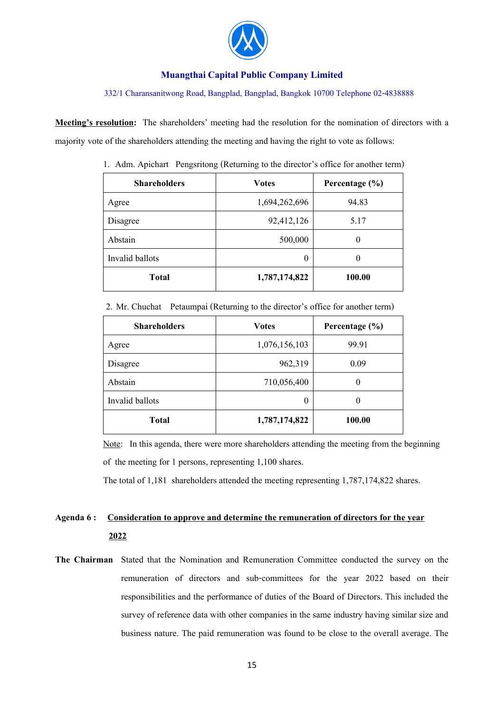

#### 332/1 Charansanitwong Road, Bangplad, Bangplad, Bangkok 10700 Telephone 02-4838888

**Meeting's resolution:** The shareholders' meeting had the resolution for the nomination of directors with a majority vote of the shareholders attending the meeting and having the right to vote as follows:

| <b>Shareholders</b> | <b>Votes</b>  | Percentage $(\% )$ |
|---------------------|---------------|--------------------|
| Agree               | 1,694,262,696 | 94.83              |
| Disagree            | 92,412,126    | 5.17               |
| Abstain             | 500,000       | $\theta$           |
| Invalid ballots     | $\theta$      | $\theta$           |
| <b>Total</b>        | 1,787,174,822 | 100.00             |

1. Adm. Apichart Pengsritong (Returning to the director's office for another term)

2. Mr. Chuchat Petaumpai (Returning to the director's office for another term)

| <b>Shareholders</b> | <b>Votes</b>  | Percentage $(\% )$ |
|---------------------|---------------|--------------------|
| Agree               | 1,076,156,103 | 99.91              |
| Disagree            | 962,319       | 0.09               |
| Abstain             | 710,056,400   | 0                  |
| Invalid ballots     | $\theta$      | 0                  |
| <b>Total</b>        | 1,787,174,822 | 100.00             |

 Note: In this agenda, there were more shareholders attending the meeting from the beginning of the meeting for 1 persons, representing 1,100 shares.

The total of 1,181 shareholders attended the meeting representing 1,787,174,822 shares.

# **Agenda 6 : Consideration to approve and determine the remuneration of directors for the year 2022**

**The Chairman** Stated that the Nomination and Remuneration Committee conducted the survey on the remuneration of directors and sub-committees for the year 2022 based on their responsibilities and the performance of duties of the Board of Directors. This included the survey of reference data with other companies in the same industry having similar size and business nature. The paid remuneration was found to be close to the overall average. The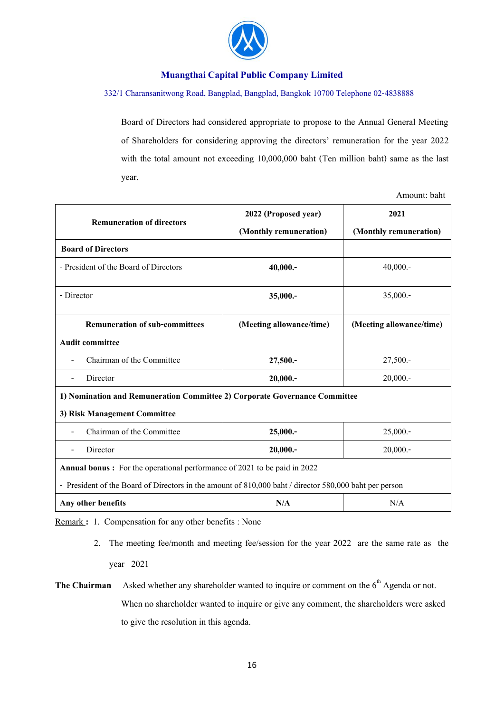

### 332/1 Charansanitwong Road, Bangplad, Bangplad, Bangkok 10700 Telephone 02-4838888

Board of Directors had considered appropriate to propose to the Annual General Meeting of Shareholders for considering approving the directors' remuneration for the year 2022 with the total amount not exceeding 10,000,000 baht (Ten million baht) same as the last year.

Amount: baht

|                                                                                                        | 2022 (Proposed year)     | 2021                     |  |
|--------------------------------------------------------------------------------------------------------|--------------------------|--------------------------|--|
| <b>Remuneration of directors</b>                                                                       | (Monthly remuneration)   | (Monthly remuneration)   |  |
| <b>Board of Directors</b>                                                                              |                          |                          |  |
| - President of the Board of Directors                                                                  | 40,000.                  | 40,000.                  |  |
| - Director                                                                                             | 35,000 .-                | 35,000.                  |  |
| <b>Remuneration of sub-committees</b>                                                                  | (Meeting allowance/time) | (Meeting allowance/time) |  |
| <b>Audit committee</b>                                                                                 |                          |                          |  |
| Chairman of the Committee                                                                              | 27,500 .-                | 27,500.                  |  |
| Director                                                                                               | 20,000.                  | 20,000.                  |  |
| 1) Nomination and Remuneration Committee 2) Corporate Governance Committee                             |                          |                          |  |
| 3) Risk Management Committee                                                                           |                          |                          |  |
| Chairman of the Committee                                                                              | 25,000.                  | 25,000.                  |  |
| Director                                                                                               | 20,000.                  | 20,000.                  |  |
| <b>Annual bonus:</b> For the operational performance of 2021 to be paid in 2022                        |                          |                          |  |
| - President of the Board of Directors in the amount of 810,000 baht / director 580,000 baht per person |                          |                          |  |
| Any other benefits                                                                                     | N/A                      | N/A                      |  |

Remark: 1. Compensation for any other benefits : None

- 2. The meeting fee/month and meeting fee/session for the year 2022 are the same rate as the year 2021
- **The Chairman** Asked whether any shareholder wanted to inquire or comment on the  $6<sup>th</sup>$  Agenda or not. When no shareholder wanted to inquire or give any comment, the shareholders were asked to give the resolution in this agenda.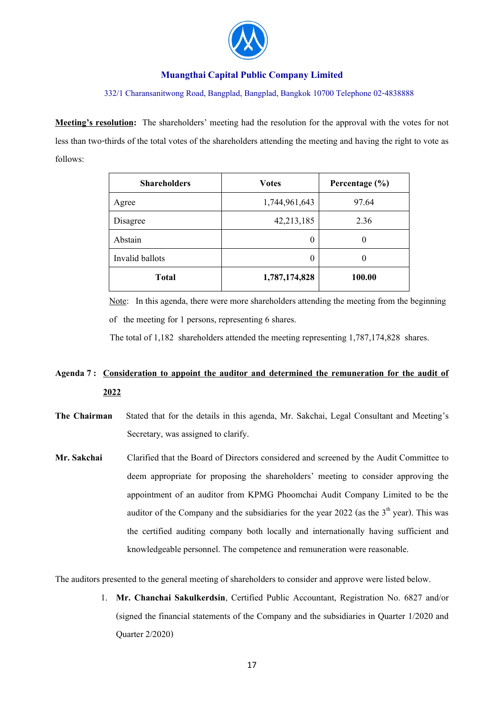

#### 332/1 Charansanitwong Road, Bangplad, Bangplad, Bangkok 10700 Telephone 02-4838888

**Meeting's resolution:** The shareholders' meeting had the resolution for the approval with the votes for not less than two-thirds of the total votes of the shareholders attending the meeting and having the right to vote as follows:

| <b>Shareholders</b> | <b>Votes</b>  | Percentage $(\% )$ |
|---------------------|---------------|--------------------|
| Agree               | 1,744,961,643 | 97.64              |
| Disagree            | 42,213,185    | 2.36               |
| Abstain             | $\theta$      | 0                  |
| Invalid ballots     | $\theta$      | 0                  |
| <b>Total</b>        | 1,787,174,828 | 100.00             |

 Note: In this agenda, there were more shareholders attending the meeting from the beginning of the meeting for 1 persons, representing 6 shares.

The total of 1,182 shareholders attended the meeting representing 1,787,174,828 shares.

# **Agenda 7 : Consideration to appoint the auditor and determined the remuneration for the audit of 2022**

- **The Chairman** Stated that for the details in this agenda, Mr. Sakchai, Legal Consultant and Meeting's Secretary, was assigned to clarify.
- **Mr.Sakchai** Clarified that the Board of Directors considered and screened by the Audit Committee to deem appropriate for proposing the shareholders' meeting to consider approving the appointment of an auditor from KPMG Phoomchai Audit Company Limited to be the auditor of the Company and the subsidiaries for the year  $2022$  (as the  $3<sup>th</sup>$  year). This was the certified auditing company both locally and internationally having sufficient and knowledgeable personnel. The competence and remuneration were reasonable.

The auditors presented to the general meeting of shareholders to consider and approve were listed below.

1. **Mr. Chanchai Sakulkerdsin**, Certified Public Accountant, Registration No. 6827 and/or (signed the financial statements of the Company and the subsidiaries in Quarter 1/2020 and Quarter 2/2020)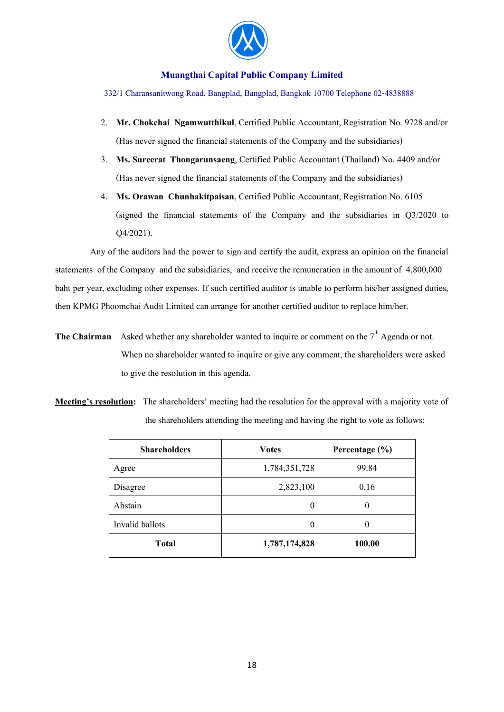

332/1 Charansanitwong Road, Bangplad, Bangplad, Bangkok 10700 Telephone 02-4838888

- 2. **Mr. Chokchai Ngamwutthikul**, Certified Public Accountant, Registration No. 9728 and/or (Has never signed the financial statements of the Company and the subsidiaries)
- 3. **Ms. Sureerat Thongarunsaeng**, Certified Public Accountant (Thailand) No. 4409 and/or (Has never signed the financial statements of the Company and the subsidiaries)
- 4. **Ms. Orawan Chunhakitpaisan**, Certified Public Accountant, Registration No. 6105 (signed the financial statements of the Company and the subsidiaries in Q3/2020 to Q4/2021).

 Any of the auditors had the power to sign and certify the audit, express an opinion on the financial statements of the Company and the subsidiaries, and receive the remuneration in the amount of 4,800,000 baht per year, excluding other expenses. If such certified auditor is unable to perform his/her assigned duties, then KPMG Phoomchai Audit Limited can arrange for another certified auditor to replace him/her.

**The Chairman** Asked whether any shareholder wanted to inquire or comment on the  $7<sup>th</sup>$  Agenda or not. When no shareholder wanted to inquire or give any comment, the shareholders were asked to give the resolution in this agenda.

**Meeting's resolution:** The shareholders' meeting had the resolution for the approval with a majority vote of the shareholders attending the meeting and having the right to vote as follows:

| <b>Shareholders</b> | <b>Votes</b>  | Percentage $(\% )$ |
|---------------------|---------------|--------------------|
| Agree               | 1,784,351,728 | 99.84              |
| Disagree            | 2,823,100     | 0.16               |
| Abstain             | 0             | O                  |
| Invalid ballots     | $\theta$      |                    |
| <b>Total</b>        | 1,787,174,828 | 100.00             |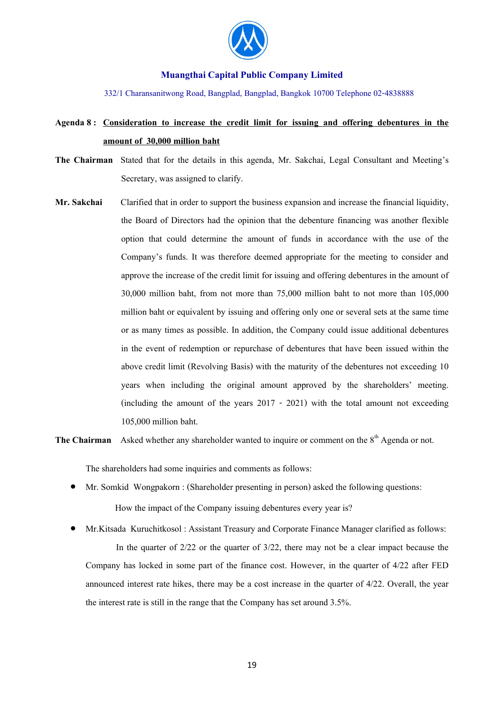

332/1 Charansanitwong Road, Bangplad, Bangplad, Bangkok 10700 Telephone 02-4838888

# **Agenda 8 : Consideration to increase the credit limit for issuing and offering debentures in the amount of 30,000 million baht**

- **The Chairman** Stated that for the details in this agenda, Mr. Sakchai, Legal Consultant and Meeting's Secretary, was assigned to clarify.
- **Mr.Sakchai** Clarified that in order to support the business expansion and increase the financial liquidity, the Board of Directors had the opinion that the debenture financing was another flexible option that could determine the amount of funds in accordance with the use of the Company's funds. It was therefore deemed appropriate for the meeting to consider and approve the increase of the credit limit for issuing and offering debentures in the amount of 30,000 million baht, from not more than 75,000 million baht to not more than 105,000 million baht or equivalent by issuing and offering only one or several sets at the same time or as many times as possible. In addition, the Company could issue additional debentures in the event of redemption or repurchase of debentures that have been issued within the above credit limit (Revolving Basis) with the maturity of the debentures not exceeding 10 years when including the original amount approved by the shareholders' meeting. (including the amount of the years 2017 - 2021) with the total amount not exceeding 105,000 million baht.

**The Chairman** Asked whether any shareholder wanted to inquire or comment on the 8<sup>th</sup> Agenda or not.

The shareholders had some inquiries and comments as follows:

- Mr. Somkid Wongpakorn : (Shareholder presenting in person) asked the following questions: How the impact of the Company issuing debentures every year is?
- Mr.Kitsada Kuruchitkosol : Assistant Treasury and Corporate Finance Manager clarified as follows: In the quarter of 2/22 or the quarter of 3/22, there may not be a clear impact because the Company has locked in some part of the finance cost. However, in the quarter of 4/22 after FED announced interest rate hikes, there may be a cost increase in the quarter of 4/22. Overall, the year the interest rate is still in the range that the Company has set around 3.5%.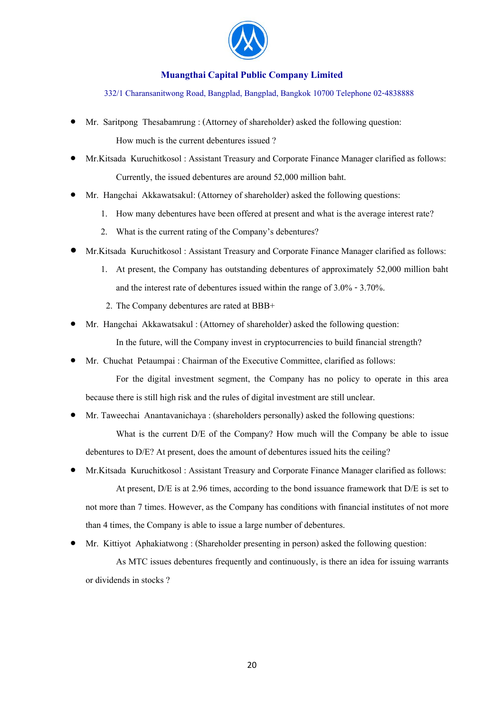

332/1 Charansanitwong Road, Bangplad, Bangplad, Bangkok 10700 Telephone 02-4838888

- Mr. Saritpong Thesabamrung : (Attorney of shareholder) asked the following question: How much is the current debentures issued ?
- Mr.Kitsada Kuruchitkosol : Assistant Treasury and Corporate Finance Manager clarified as follows: Currently, the issued debentures are around 52,000 million baht.
- Mr. Hangchai Akkawatsakul: (Attorney of shareholder) asked the following questions:
	- 1. How many debentures have been offered at present and what is the average interest rate?
	- 2. What is the current rating of the Company's debentures?
- Mr.Kitsada Kuruchitkosol : Assistant Treasury and Corporate Finance Manager clarified as follows:
	- 1. At present, the Company has outstanding debentures of approximately 52,000 million baht and the interest rate of debentures issued within the range of  $3.0\%$  -  $3.70\%$ .
	- 2. The Company debentures are rated at BBB+
- Mr. Hangchai Akkawatsakul : (Attorney of shareholder) asked the following question: In the future, will the Company invest in cryptocurrencies to build financial strength?
- Mr. Chuchat Petaumpai : Chairman of the Executive Committee, clarified as follows:

For the digital investment segment, the Company has no policy to operate in this area because there is still high risk and the rules of digital investment are still unclear.

• Mr. Taweechai Anantavanichaya : (shareholders personally) asked the following questions:

What is the current  $D/E$  of the Company? How much will the Company be able to issue debentures to D/E? At present, does the amount of debentures issued hits the ceiling?

- Mr.Kitsada Kuruchitkosol : Assistant Treasury and Corporate Finance Manager clarified as follows: At present, D/E is at 2.96 times, according to the bond issuance framework that D/E is set to not more than 7 times. However, as the Company has conditions with financial institutes of not more than 4 times, the Company is able to issue a large number of debentures.
- Mr. Kittiyot Aphakiatwong : (Shareholder presenting in person) asked the following question:

As MTC issues debentures frequently and continuously, is there an idea for issuing warrants or dividends in stocks ?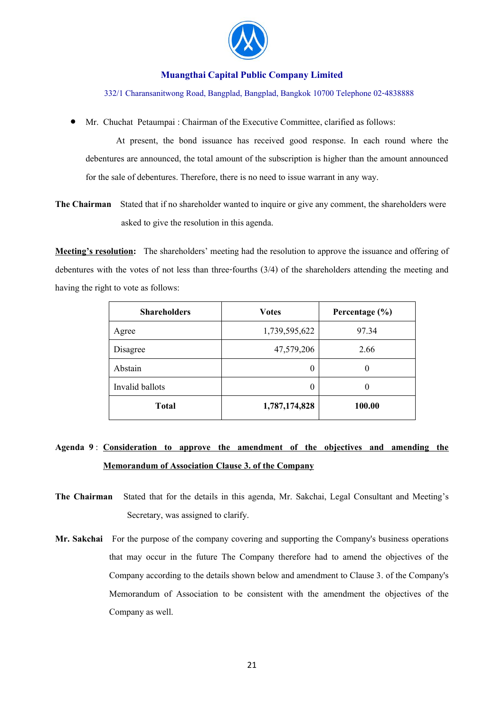

332/1 Charansanitwong Road, Bangplad, Bangplad, Bangkok 10700 Telephone 02-4838888

• Mr. Chuchat Petaumpai : Chairman of the Executive Committee, clarified as follows:

At present, the bond issuance has received good response. In each round where the debentures are announced, the total amount of the subscription is higher than the amount announced for the sale of debentures. Therefore, there is no need to issue warrant in any way.

**The Chairman** Stated that if no shareholder wanted to inquire or give any comment, the shareholders were asked to give the resolution in this agenda.

**Meeting's resolution:** The shareholders' meeting had the resolution to approve the issuance and offering of debentures with the votes of not less than three-fourths (3/4) of the shareholders attending the meeting and having the right to vote as follows:

| <b>Shareholders</b> | <b>Votes</b>  | Percentage $(\% )$ |
|---------------------|---------------|--------------------|
| Agree               | 1,739,595,622 | 97.34              |
| Disagree            | 47,579,206    | 2.66               |
| Abstain             | 0             | $\theta$           |
| Invalid ballots     | 0             | $\theta$           |
| Total               | 1,787,174,828 | 100.00             |

# **Agenda 9** : **Consideration to approve the amendment of the objectives and amending the Memorandum of Association Clause 3. of the Company**

- **The Chairman** Stated that for the details in this agenda, Mr. Sakchai, Legal Consultant and Meeting's Secretary, was assigned to clarify.
- **Mr. Sakchai** For the purpose of the company covering and supporting the Company's business operations that may occur in the future The Company therefore had to amend the objectives of the Company according to the details shown below and amendment to Clause 3. of the Company's Memorandum of Association to be consistent with the amendment the objectives of the Company as well.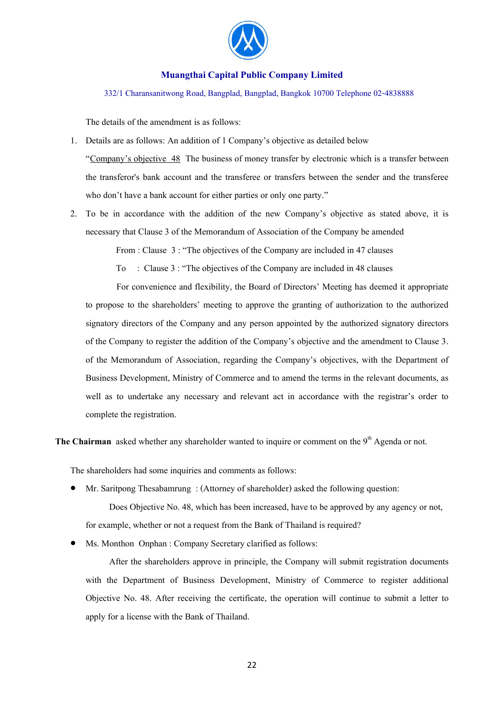

332/1 Charansanitwong Road, Bangplad, Bangplad, Bangkok 10700 Telephone 02-4838888

The details of the amendment is as follows:

- 1. Details are as follows: An addition of 1 Company's objective as detailed below "Company's objective 48 The business of money transfer by electronic which is a transfer between the transferor's bank account and the transferee or transfers between the sender and the transferee who don't have a bank account for either parties or only one party."
- 2. To be in accordance with the addition of the new Company's objective as stated above, it is necessary that Clause 3 of the Memorandum of Association of the Company be amended

From : Clause 3 : "The objectives of the Company are included in 47 clauses

To : Clause 3 : "The objectives of the Company are included in 48 clauses

 For convenience and flexibility, the Board of Directors' Meeting has deemed it appropriate to propose to the shareholders' meeting to approve the granting of authorization to the authorized signatory directors of the Company and any person appointed by the authorized signatory directors of the Company to register the addition of the Company's objective and the amendment to Clause 3. of the Memorandum of Association, regarding the Company's objectives, with the Department of Business Development, Ministry of Commerce and to amend the terms in the relevant documents, as well as to undertake any necessary and relevant act in accordance with the registrar's order to complete the registration.

**The Chairman** asked whether any shareholder wanted to inquire or comment on the 9<sup>th</sup> Agenda or not.

The shareholders had some inquiries and comments as follows:

• Mr. Saritpong Thesabamrung : (Attorney of shareholder) asked the following question:

Does Objective No. 48, which has been increased, have to be approved by any agency or not, for example, whether or not a request from the Bank of Thailand is required?

Ms. Monthon Onphan : Company Secretary clarified as follows:

After the shareholders approve in principle, the Company will submit registration documents with the Department of Business Development, Ministry of Commerce to register additional Objective No. 48. After receiving the certificate, the operation will continue to submit a letter to apply for a license with the Bank of Thailand.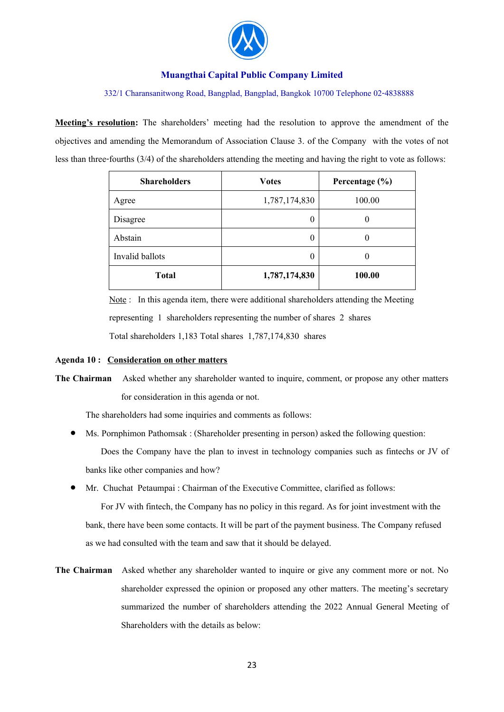

#### 332/1 Charansanitwong Road, Bangplad, Bangplad, Bangkok 10700 Telephone 02-4838888

**Meeting's resolution:** The shareholders' meeting had the resolution to approve the amendment of the objectives and amending the Memorandum of Association Clause 3. of the Companywith the votes of not less than three-fourths (3/4) of the shareholders attending the meeting and having the right to vote as follows:

| <b>Shareholders</b> | <b>Votes</b>  | Percentage (%) |
|---------------------|---------------|----------------|
| Agree               | 1,787,174,830 | 100.00         |
| Disagree            | 0             | 0              |
| Abstain             | 0             | 0              |
| Invalid ballots     | 0             | $\theta$       |
| <b>Total</b>        | 1,787,174,830 | 100.00         |

 Note : In this agenda item, there were additional shareholders attending the Meeting representing 1 shareholders representing the number of shares 2 shares Total shareholders 1,183 Total shares 1,787,174,830 shares

#### **Agenda 10 : Consideration on other matters**

**The Chairman** Asked whether any shareholder wanted to inquire, comment, or propose any other matters for consideration in this agenda or not.

The shareholders had some inquiries and comments as follows:

- Ms. Pornphimon Pathomsak : (Shareholder presenting in person) asked the following question: Does the Company have the plan to invest in technology companies such as fintechs or JV of banks like other companies and how?
- Mr. Chuchat Petaumpai : Chairman of the Executive Committee, clarified as follows:

For JV with fintech, the Company has no policy in this regard. As for joint investment with the bank, there have been some contacts. It will be part of the payment business. The Company refused as we had consulted with the team and saw that it should be delayed.

**The Chairman** Asked whether any shareholder wanted to inquire or give any comment more or not. No shareholder expressed the opinion or proposed any other matters. The meeting's secretary summarized the number of shareholders attending the 2022 Annual General Meeting of Shareholders with the details as below: